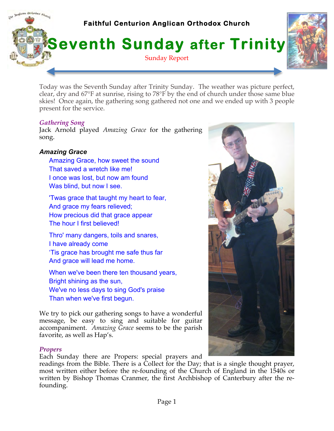

Today was the Seventh Sunday after Trinity Sunday. The weather was picture perfect, clear, dry and 67°F at sunrise, rising to 78°F by the end of church under those same blue skies! Once again, the gathering song gathered not one and we ended up with 3 people present for the service.

### *Gathering Song*

Jack Arnold played *Amazing Grace* for the gathering song.

# *Amazing Grace*

- Amazing Grace, how sweet the sound That saved a wretch like me! I once was lost, but now am found Was blind, but now I see.
- 'Twas grace that taught my heart to fear, And grace my fears relieved; How precious did that grace appear The hour I first believed!
- Thro' many dangers, toils and snares, I have already come 'Tis grace has brought me safe thus far And grace will lead me home.
- When we've been there ten thousand years, Bright shining as the sun, We've no less days to sing God's praise Than when we've first begun.

We try to pick our gathering songs to have a wonderful message, be easy to sing and suitable for guitar accompaniment. *Amazing Grace* seems to be the parish favorite, as well as Hap's.

### *Propers*

Each Sunday there are Propers: special prayers and

readings from the Bible. There is a Collect for the Day; that is a single thought prayer, most written either before the re-founding of the Church of England in the 1540s or written by Bishop Thomas Cranmer, the first Archbishop of Canterbury after the refounding.

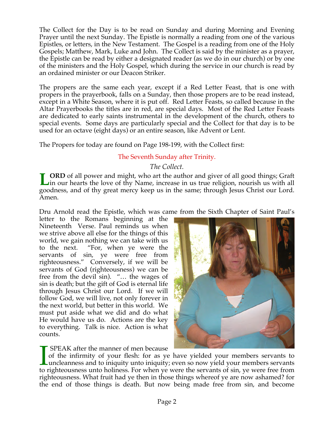The Collect for the Day is to be read on Sunday and during Morning and Evening Prayer until the next Sunday. The Epistle is normally a reading from one of the various Epistles, or letters, in the New Testament. The Gospel is a reading from one of the Holy Gospels; Matthew, Mark, Luke and John. The Collect is said by the minister as a prayer, the Epistle can be read by either a designated reader (as we do in our church) or by one of the ministers and the Holy Gospel, which during the service in our church is read by an ordained minister or our Deacon Striker.

The propers are the same each year, except if a Red Letter Feast, that is one with propers in the prayerbook, falls on a Sunday, then those propers are to be read instead, except in a White Season, where it is put off. Red Letter Feasts, so called because in the Altar Prayerbooks the titles are in red, are special days. Most of the Red Letter Feasts are dedicated to early saints instrumental in the development of the church, others to special events. Some days are particularly special and the Collect for that day is to be used for an octave (eight days) or an entire season, like Advent or Lent.

The Propers for today are found on Page 198-199, with the Collect first:

## The Seventh Sunday after Trinity.

# *The Collect.*

**ORD** of all power and might, who art the author and giver of all good things; Graft in our hearts the love of thy Name, increase in us true religion, nourish us with all goodness, and of thy great mercy keep us in the same; through Jesus Christ our Lord. Amen. **L**

Dru Arnold read the Epistle, which was came from the Sixth Chapter of Saint Paul's

letter to the Romans beginning at the Nineteenth Verse. Paul reminds us when we strive above all else for the things of this world, we gain nothing we can take with us to the next. "For, when ye were the servants of sin, ye were free from righteousness." Conversely, if we will be servants of God (righteousness) we can be free from the devil sin). "… the wages of sin is death; but the gift of God is eternal life through Jesus Christ our Lord. If we will follow God, we will live, not only forever in the next world, but better in this world. We must put aside what we did and do what He would have us do. Actions are the key to everything. Talk is nice. Action is what counts.



SPEAK after the manner of men because

of the infirmity of your flesh: for as ye have yielded your members servants to uncleanness and to iniquity unto iniquity; even so now yield your members servants to righteousness unto holiness. For when ye were the servants of sin, ye were free from righteousness. What fruit had ye then in those things whereof ye are now ashamed? for the end of those things is death. But now being made free from sin, and become  $\prod_{\text{to } n}$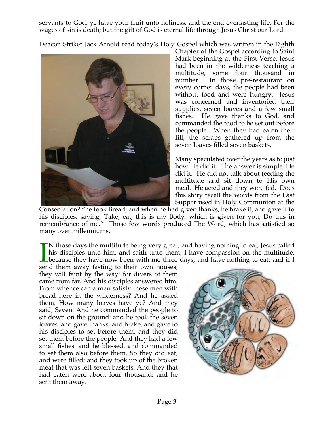servants to God, ye have your fruit unto holiness, and the end everlasting life. For the wages of sin is death; but the gift of God is eternal life through Jesus Christ our Lord.

Deacon Striker Jack Arnold read today's Holy Gospel which was written in the Eighth



Chapter of the Gospel according to Saint Mark beginning at the First Verse. Jesus had been in the wilderness teaching a multitude, some four thousand in number. In those pre-restaurant on every corner days, the people had been without food and were hungry. Jesus was concerned and inventoried their supplies, seven loaves and a few small fishes. He gave thanks to God, and commanded the food to be set out before the people. When they had eaten their fill, the scraps gathered up from the seven loaves filled seven baskets.

Many speculated over the years as to just how He did it. The answer is simple, He did it. He did not talk about feeding the multitude and sit down to His own meal. He acted and they were fed. Does this story recall the words from the Last Supper used in Holy Communion at the

Consecration? "he took Bread; and when he had given thanks, he brake it, and gave it to his disciples, saying, Take, eat, this is my Body, which is given for you; Do this in remembrance of me." Those few words produced The Word, which has satisfied so many over millenniums.

N those days the multitude being very great, and having nothing to eat, Jesus called his disciples unto him, and saith unto them, I have compassion on the multitude, because they have now been with me three days, and have nothing to eat: and if I <sup>Sen</sup>

send them away fasting to their own houses, they will faint by the way: for divers of them came from far. And his disciples answered him, From whence can a man satisfy these men with bread here in the wilderness? And he asked them, How many loaves have ye? And they said, Seven. And he commanded the people to sit down on the ground: and he took the seven loaves, and gave thanks, and brake, and gave to his disciples to set before them; and they did set them before the people. And they had a few small fishes: and he blessed, and commanded to set them also before them. So they did eat, and were filled: and they took up of the broken meat that was left seven baskets. And they that had eaten were about four thousand: and he sent them away.

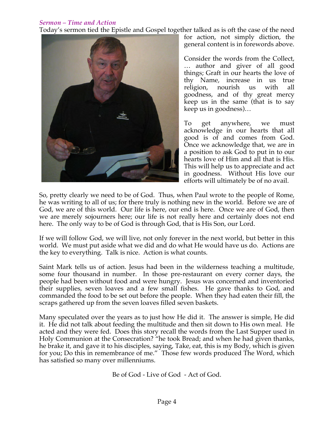## *Sermon – Time and Action*

Today's sermon tied the Epistle and Gospel together talked as is oft the case of the need



for action, not simply diction, the general content is in forewords above.

Consider the words from the Collect, … author and giver of all good things; Graft in our hearts the love of thy Name, increase in us true religion, nourish us with all goodness, and of thy great mercy keep us in the same (that is to say keep us in goodness)…

To get anywhere, we must acknowledge in our hearts that all good is of and comes from God. Once we acknowledge that, we are in a position to ask God to put in to our hearts love of Him and all that is His. This will help us to appreciate and act in goodness. Without His love our efforts will ultimately be of no avail.

So, pretty clearly we need to be of God. Thus, when Paul wrote to the people of Rome, he was writing to all of us; for there truly is nothing new in the world. Before we are of God, we are of this world. Our life is here, our end is here. Once we are of God, then we are merely sojourners here; our life is not really here and certainly does not end here. The only way to be of God is through God, that is His Son, our Lord.

If we will follow God, we will live, not only forever in the next world, but better in this world. We must put aside what we did and do what He would have us do. Actions are the key to everything. Talk is nice. Action is what counts.

Saint Mark tells us of action. Jesus had been in the wilderness teaching a multitude, some four thousand in number. In those pre-restaurant on every corner days, the people had been without food and were hungry. Jesus was concerned and inventoried their supplies, seven loaves and a few small fishes. He gave thanks to God, and commanded the food to be set out before the people. When they had eaten their fill, the scraps gathered up from the seven loaves filled seven baskets.

Many speculated over the years as to just how He did it. The answer is simple, He did it. He did not talk about feeding the multitude and then sit down to His own meal. He acted and they were fed. Does this story recall the words from the Last Supper used in Holy Communion at the Consecration? "he took Bread; and when he had given thanks, he brake it, and gave it to his disciples, saying, Take, eat, this is my Body, which is given for you; Do this in remembrance of me." Those few words produced The Word, which has satisfied so many over millenniums.

Be of God - Live of God - Act of God.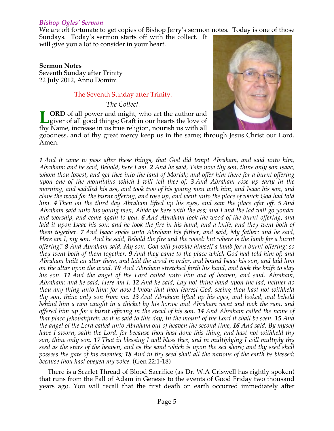#### *Bishop Ogles' Sermon*

We are oft fortunate to get copies of Bishop Jerry's sermon notes. Today is one of those

Sundays. Today's sermon starts off with the collect. It will give you a lot to consider in your heart.

**Sermon Notes**  Seventh Sunday after Trinity 22 July 2012, Anno Domini

#### The Seventh Sunday after Trinity.

*The Collect.*

**ORD** of all power and might, who art the author and giver of all good things; Graft in our hearts the love of thy Name, increase in us true religion, nourish us with all **L**



goodness, and of thy great mercy keep us in the same; through Jesus Christ our Lord. Amen.

*1 And it came to pass after these things, that God did tempt Abraham, and said unto him, Abraham: and he said, Behold, here I am. 2 And he said, Take now thy son, thine only son Isaac, whom thou lovest, and get thee into the land of Moriah; and offer him there for a burnt offering upon one of the mountains which I will tell thee of. 3 And Abraham rose up early in the morning, and saddled his ass, and took two of his young men with him, and Isaac his son, and clave the wood for the burnt offering, and rose up, and went unto the place of which God had told him. 4 Then on the third day Abraham lifted up his eyes, and saw the place afar off. 5 And Abraham said unto his young men, Abide ye here with the ass; and I and the lad will go yonder and worship, and come again to you. 6 And Abraham took the wood of the burnt offering, and*  laid it upon Isaac his son; and he took the fire in his hand, and a knife; and they went both of *them together. 7 And Isaac spake unto Abraham his father, and said, My father: and he said, Here am I, my son. And he said, Behold the fire and the wood: but where is the lamb for a burnt offering? 8 And Abraham said, My son, God will provide himself a lamb for a burnt offering: so they went both of them together. 9 And they came to the place which God had told him of; and Abraham built an altar there, and laid the wood in order, and bound Isaac his son, and laid him on the altar upon the wood. 10 And Abraham stretched forth his hand, and took the knife to slay his son. 11 And the angel of the Lord called unto him out of heaven, and said, Abraham, Abraham: and he said, Here am I. 12 And he said, Lay not thine hand upon the lad, neither do thou any thing unto him: for now I know that thou fearest God, seeing thou hast not withheld thy son, thine only son from me. 13 And Abraham lifted up his eyes, and looked, and behold behind him a ram caught in a thicket by his horns: and Abraham went and took the ram, and offered him up for a burnt offering in the stead of his son. 14 And Abraham called the name of that place Jehovahjireh: as it is said to this day, In the mount of the Lord it shall be seen.* **15** *And the angel of the Lord called unto Abraham out of heaven the second time, 16 And said, By myself have I sworn, saith the Lord, for because thou hast done this thing, and hast not withheld thy son, thine only son: 17 That in blessing I will bless thee, and in multiplying I will multiply thy seed as the stars of the heaven, and as the sand which is upon the sea shore; and thy seed shall possess the gate of his enemies; 18 And in thy seed shall all the nations of the earth be blessed; because thou hast obeyed my voice.* (Gen 22:1-18)

 There is a Scarlet Thread of Blood Sacrifice (as Dr. W.A Criswell has rightly spoken) that runs from the Fall of Adam in Genesis to the events of Good Friday two thousand years ago. You will recall that the first death on earth occurred immediately after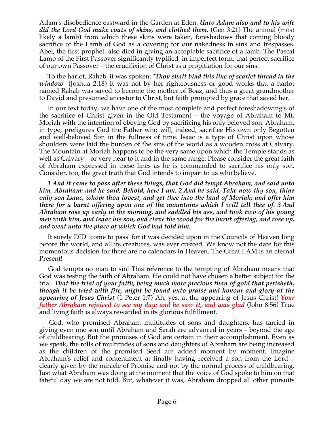Adam's disobedience eastward in the Garden at Eden. *Unto Adam also and to his wife did the Lord God make coats of skins, and clothed them*. (Gen 3:21) The animal (most likely a lamb) from which these skins were taken, foreshadows that coming bloody sacrifice of the Lamb of God as a covering for our nakedness in sins and trespasses. Abel, the first prophet, also died in giving an acceptable sacrifice of a lamb. The Pascal Lamb of the First Passover significantly typified, in imperfect form, that perfect sacrifice of our own Passover – the crucifixion of Christ as a propitiation for our sins.

 To the harlot, Rahab, it was spoken: "*Thou shalt bind this line of scarlet thread in the window*" (Joshua 2:18) It was not by her righteousness or good works that a harlot named Rahab was saved to become the mother of Boaz, and thus a great grandmother to David and presumed ancestor to Christ, but faith prompted by grace that saved her.

 In our text today, we have one of the most complete and perfect foreshadowing's of the sacrifice of Christ given in the Old Testament – the voyage of Abraham to Mt. Moriah with the intention of obeying God by sacrificing his only beloved son. Abraham, in type, prefigures God the Father who will, indeed, sacrifice His own only Begotten and well-beloved Son in the fullness of time. Isaac is a type of Christ upon whose shoulders were laid the burden of the sins of the world as a wooden cross at Calvary. The Mountain at Moriah happens to be the very same upon which the Temple stands as well as Calvary – or very near to it and in the same range. Please consider the great faith of Abraham expressed in these lines as he is commanded to sacrifice his only son. Consider, too, the great truth that God intends to impart to us who believe.

 *1 And it came to pass after these things, that God did tempt Abraham, and said unto him, Abraham: and he said, Behold, here I am. 2 And he said, Take now thy son, thine only son Isaac, whom thou lovest, and get thee into the land of Moriah; and offer him there for a burnt offering upon one of the mountains which I will tell thee of. 3 And Abraham rose up early in the morning, and saddled his ass, and took two of his young men with him, and Isaac his son, and clave the wood for the burnt offering, and rose up, and went unto the place of which God had told him.*

 It surely DID `come to pass' for it was decided upon in the Councils of Heaven long before the world, and all its creatures, was ever created. We know not the date for this momentous decision for there are no calendars in Heaven. The Great I AM is an eternal Present!

 God tempts no man to sin! This reference to the tempting of Abraham means that God was testing the faith of Abraham. He could not have chosen a better subject for the trial. *That the trial of your faith, being much more precious than of gold that perisheth, though it be tried with fire, might be found unto praise and honour and glory at the appearing of Jesus Christ* (1 Peter 1:7) Ah, yes, at the appearing of Jesus Christ! *Your father Abraham rejoiced to see my day: and he saw it, and was glad* (John 8:56) True and living faith is always rewarded in its glorious fulfillment.

 God, who promised Abraham multitudes of sons and daughters, has tarried in giving even one son until Abraham and Sarah are advanced in years – beyond the age of childbearing. But the promises of God are certain in their accomplishment. Even as we speak, the rolls of multitudes of sons and daughters of Abraham are being increased as the children of the promised Seed are added moment by moment. Imagine Abraham's relief and contentment at finally having received a son from the Lord – clearly given by the miracle of Promise and not by the normal process of childbearing. Just what Abraham was doing at the moment that the voice of God spoke to him on that fateful day we are not told. But, whatever it was, Abraham dropped all other pursuits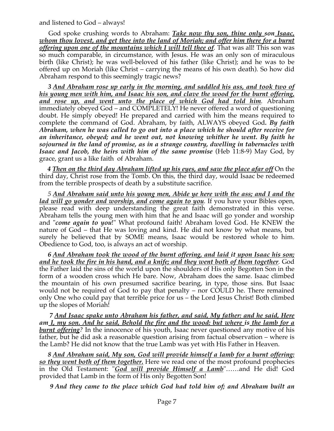and listened to God – always!

 God spoke crushing words to Abraham: *Take now thy son, thine only son Isaac, whom thou lovest, and get thee into the land of Moriah; and offer him there for a burnt offering upon one of the mountains which I will tell thee of.* That was all! This son was so much comparable, in circumstance, with Jesus. He was an only son of miraculous birth (like Christ); he was well-beloved of his father (like Christ); and he was to be offered up on Moriah (like Christ – carrying the means of his own death). So how did Abraham respond to this seemingly tragic news?

 *3 And Abraham rose up early in the morning, and saddled his ass, and took two of his young men with him, and Isaac his son, and clave the wood for the burnt offering, and rose up, and went unto the place of which God had told him.* Abraham immediately obeyed God – and COMPLETELY! He never offered a word of questioning doubt. He simply obeyed! He prepared and carried with him the means required to complete the command of God. Abraham, by faith, ALWAYS obeyed God*. By faith Abraham, when he was called to go out into a place which he should after receive for an inheritance, obeyed; and he went out, not knowing whither he went. By faith he sojourned in the land of promise, as in a strange country, dwelling in tabernacles with Isaac and Jacob, the heirs with him of the same promise* (Heb 11:8-9) May God, by grace, grant us a like faith of Abraham.

 *4 Then on the third day Abraham lifted up his eyes, and saw the place afar off* On the third day, Christ rose from the Tomb. On this, the third day, would Isaac be redeemed from the terrible prospects of death by a substitute sacrifice.

 *5 And Abraham said unto his young men, Abide ye here with the ass; and I and the lad will go yonder and worship, and come again to you.* If you have your Bibles open, please read with deep understanding the great faith demonstrated in this verse. Abraham tells the young men with him that he and Isaac will go yonder and worship and "*come again to you*!" What profound faith! Abraham loved God. He KNEW the nature of God – that He was loving and kind. He did not know by what means, but surely he believed that by SOME means, Isaac would be restored whole to him. Obedience to God, too, is always an act of worship.

 *6 And Abraham took the wood of the burnt offering, and laid it upon Isaac his son; and he took the fire in his hand, and a knife; and they went both of them together.* God the Father laid the sins of the world upon the shoulders of His only Begotten Son in the form of a wooden cross which He bare. Now, Abraham does the same. Isaac climbed the mountain of his own presumed sacrifice bearing, in type, those sins. But Isaac would not be required of God to pay that penalty – nor COULD he. There remained only One who could pay that terrible price for us – the Lord Jesus Christ! Both climbed up the slopes of Moriah!

 *7 And Isaac spake unto Abraham his father, and said, My father: and he said, Here am I, my son. And he said, Behold the fire and the wood: but where is the lamb for a burnt offering?* In the innocence of his youth, Isaac never questioned any motive of his father, but he did ask a reasonable question arising from factual observation – where is the Lamb? He did not know that the true Lamb was yet with His Father in Heaven.

 *8 And Abraham said, My son, God will provide himself a lamb for a burnt offering: so they went both of them together.* Here we read one of the most profound prophecies in the Old Testament: "*God will provide Himself a Lamb*"……and He did! God provided that Lamb in the form of His only Begotten Son!

*9 And they came to the place which God had told him of; and Abraham built an*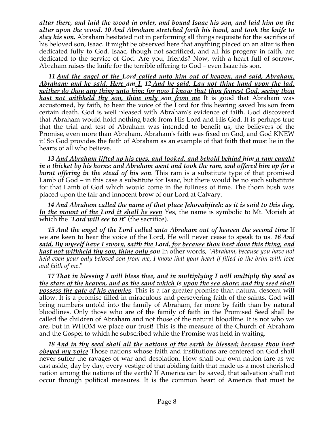*altar there, and laid the wood in order, and bound Isaac his son, and laid him on the altar upon the wood. 10 And Abraham stretched forth his hand, and took the knife to slay his son.* Abraham hesitated not in performing all things requisite for the sacrifice of his beloved son, Isaac. It might be observed here that anything placed on an altar is then dedicated fully to God. Isaac, though not sacrificed, and all his progeny in faith, are dedicated to the service of God. Are you, friends? Now, with a heart full of sorrow, Abraham raises the knife for the terrible offering to God – even Isaac his son.

 *11 And the angel of the Lord called unto him out of heaven, and said, Abraham, Abraham: and he said, Here am I. 12 And he said, Lay not thine hand upon the lad, neither do thou any thing unto him: for now I know that thou fearest God, seeing thou hast not withheld thy son, thine only son from me* It is good that Abraham was accustomed, by faith, to hear the voice of the Lord for this hearing saved his son from certain death. God is well pleased with Abraham's evidence of faith. God discovered that Abraham would hold nothing back from His Lord and His God. It is perhaps true that the trial and test of Abraham was intended to benefit us, the believers of the Promise, even more than Abraham. Abraham's faith was fixed on God, and God KNEW it! So God provides the faith of Abraham as an example of that faith that must lie in the hearts of all who believe.

 *13 And Abraham lifted up his eyes, and looked, and behold behind him a ram caught in a thicket by his horns: and Abraham went and took the ram, and offered him up for a burnt offering in the stead of his son.* This ram is a substitute type of that promised Lamb of God – in this case a substitute for Isaac, but there would be no such substitute for that Lamb of God which would come in the fullness of time. The thorn bush was placed upon the fair and innocent brow of our Lord at Calvary.

 *14 And Abraham called the name of that place Jehovahjireh: as it is said to this day, In the mount of the Lord it shall be seen* Yes, the name is symbolic to Mt. Moriah at which the "*Lord will see to it*" (the sacrifice).

 *15 And the angel of the Lord called unto Abraham out of heaven the second time* If we are keen to hear the voice of the Lord, He will never cease to speak to us. *16 And said, By myself have I sworn, saith the Lord, for because thou hast done this thing, and hast not withheld thy son, thine only son* In other words, "*Abraham, because you have not held even your only beloved son from me, I know that your heart if filled to the brim with love and faith of me*."

 *17 That in blessing I will bless thee, and in multiplying I will multiply thy seed as the stars of the heaven, and as the sand which is upon the sea shore; and thy seed shall possess the gate of his enemies*. This is a far greater promise than natural descent will allow. It is a promise filled in miraculous and persevering faith of the saints. God will bring numbers untold into the family of Abraham, far more by faith than by natural bloodlines. Only those who are of the family of faith in the Promised Seed shall be called the children of Abraham and not those of the natural bloodline. It is not who we are, but in WHOM we place our trust! This is the measure of the Church of Abraham and the Gospel to which he subscribed while the Promise was held in waiting.

 *18 And in thy seed shall all the nations of the earth be blessed; because thou hast obeyed my voice* Those nations whose faith and institutions are centered on God shall never suffer the ravages of war and desolation. How shall our own nation fare as we cast aside, day by day, every vestige of that abiding faith that made us a most cherished nation among the nations of the earth? If America can be saved, that salvation shall not occur through political measures. It is the common heart of America that must be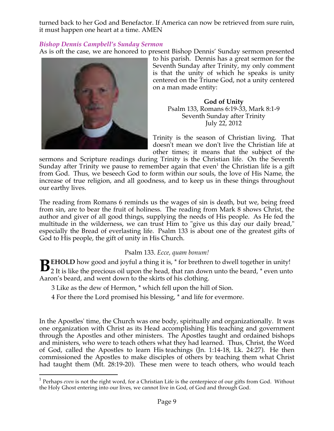turned back to her God and Benefactor. If America can now be retrieved from sure ruin, it must happen one heart at a time. AMEN

## *Bishop Dennis Campbell's Sunday Sermon*

As is oft the case, we are honored to present Bishop Dennis' Sunday sermon presented



to his parish. Dennis has a great sermon for the Seventh Sunday after Trinity, my only comment is that the unity of which he speaks is unity centered on the Triune God, not a unity centered on a man made entity:

**God of Unity** Psalm 133, Romans 6:19-33, Mark 8:1-9 Seventh Sunday after Trinity July 22, 2012

Trinity is the season of Christian living. That doesn't mean we don't live the Christian life at other times; it means that the subject of the

sermons and Scripture readings during Trinity is the Christian life. On the Seventh Sunday after Trinity we pause to remember again that even<sup>1</sup> the Christian life is a gift from God. Thus, we beseech God to form within our souls, the love of His Name, the increase of true religion, and all goodness, and to keep us in these things throughout our earthy lives.

The reading from Romans 6 reminds us the wages of sin is death, but we, being freed from sin, are to bear the fruit of holiness. The reading from Mark 8 shows Christ, the author and giver of all good things, supplying the needs of His people. As He fed the multitude in the wilderness, we can trust Him to "give us this day our daily bread," especially the Bread of everlasting life. Psalm 133 is about one of the greatest gifts of God to His people, the gift of unity in His Church.

# Psalm 133. *Ecce, quam bonum!*

**EHOLD** how good and joyful a thing it is, \* for brethren to dwell together in unity! **B**EHOLD how good and joyful a thing it is,  $*$  for brethren to dwell together in unity!<br>2 It is like the precious oil upon the head, that ran down unto the beard,  $*$  even unto Aaron's beard, and went down to the skirts of his clothing.

3 Like as the dew of Hermon, \* which fell upon the hill of Sion.

4 For there the Lord promised his blessing, \* and life for evermore.

In the Apostles' time, the Church was one body, spiritually and organizationally. It was one organization with Christ as its Head accomplishing His teaching and government through the Apostles and other ministers. The Apostles taught and ordained bishops and ministers, who were to teach others what they had learned. Thus, Christ, the Word of God, called the Apostles to learn His teachings (Jn. 1:14-18, Lk. 24:27). He then commissioned the Apostles to make disciples of others by teaching them what Christ had taught them (Mt. 28:19-20). These men were to teach others, who would teach

<sup>&</sup>lt;sup>1</sup> Perhaps *even* is not the right word, for a Christian Life is the centerpiece of our gifts from God. Without the Holy Ghost entering into our lives, we cannot live in God, of God and through God.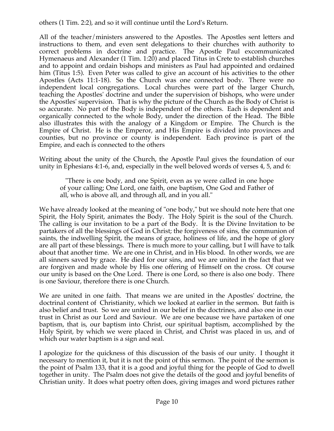others (1 Tim. 2:2), and so it will continue until the Lord's Return.

All of the teacher/ministers answered to the Apostles. The Apostles sent letters and instructions to them, and even sent delegations to their churches with authority to correct problems in doctrine and practice. The Apostle Paul excommunicated Hymenaeus and Alexander (1 Tim. 1:20) and placed Titus in Crete to establish churches and to appoint and ordain bishops and ministers as Paul had appointed and ordained him (Titus 1:5). Even Peter was called to give an account of his activities to the other Apostles (Acts 11:1-18). So the Church was one connected body. There were no independent local congregations. Local churches were part of the larger Church, teaching the Apostles' doctrine and under the supervision of bishops, who were under the Apostles' supervision. That is why the picture of the Church as the Body of Christ is so accurate. No part of the Body is independent of the others. Each is dependent and organically connected to the whole Body, under the direction of the Head. The Bible also illustrates this with the analogy of a Kingdom or Empire. The Church is the Empire of Christ. He is the Emperor, and His Empire is divided into provinces and counties, but no province or county is independent. Each province is part of the Empire, and each is connected to the others

Writing about the unity of the Church, the Apostle Paul gives the foundation of our unity in Ephesians 4:1-6, and, especially in the well beloved words of verses 4, 5, and 6:

 "There is one body, and one Spirit, even as ye were called in one hope of your calling; One Lord, one faith, one baptism, One God and Father of all, who is above all, and through all, and in you all."

We have already looked at the meaning of "one body," but we should note here that one Spirit, the Holy Spirit, animates the Body. The Holy Spirit is the soul of the Church. The calling is our invitation to be a part of the Body. It is the Divine Invitation to be partakers of all the blessings of God in Christ; the forgiveness of sins, the communion of saints, the indwelling Spirit, the means of grace, holiness of life, and the hope of glory are all part of these blessings. There is much more to your calling, but I will have to talk about that another time. We are one in Christ, and in His blood. In other words, we are all sinners saved by grace. He died for our sins, and we are united in the fact that we are forgiven and made whole by His one offering of Himself on the cross. Of course our unity is based on the One Lord. There is one Lord, so there is also one body. There is one Saviour, therefore there is one Church.

We are united in one faith. That means we are united in the Apostles' doctrine, the doctrinal content of Christianity, which we looked at earlier in the sermon. But faith is also belief and trust. So we are united in our belief in the doctrines, and also one in our trust in Christ as our Lord and Saviour. We are one because we have partaken of one baptism, that is, our baptism into Christ, our spiritual baptism, accomplished by the Holy Spirit, by which we were placed in Christ, and Christ was placed in us, and of which our water baptism is a sign and seal.

I apologize for the quickness of this discussion of the basis of our unity. I thought it necessary to mention it, but it is not the point of this sermon. The point of the sermon is the point of Psalm 133, that it is a good and joyful thing for the people of God to dwell together in unity. The Psalm does not give the details of the good and joyful benefits of Christian unity. It does what poetry often does, giving images and word pictures rather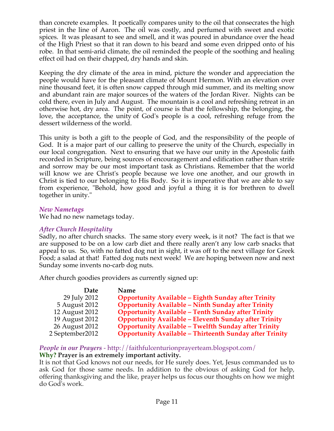than concrete examples. It poetically compares unity to the oil that consecrates the high priest in the line of Aaron. The oil was costly, and perfumed with sweet and exotic spices. It was pleasant to see and smell, and it was poured in abundance over the head of the High Priest so that it ran down to his beard and some even dripped onto of his robe. In that semi-arid climate, the oil reminded the people of the soothing and healing effect oil had on their chapped, dry hands and skin.

Keeping the dry climate of the area in mind, picture the wonder and appreciation the people would have for the pleasant climate of Mount Hermon. With an elevation over nine thousand feet, it is often snow capped through mid summer, and its melting snow and abundant rain are major sources of the waters of the Jordan River. Nights can be cold there, even in July and August. The mountain is a cool and refreshing retreat in an otherwise hot, dry area. The point, of course is that the fellowship, the belonging, the love, the acceptance, the unity of God's people is a cool, refreshing refuge from the dessert wilderness of the world.

This unity is both a gift to the people of God, and the responsibility of the people of God. It is a major part of our calling to preserve the unity of the Church, especially in our local congregation. Next to ensuring that we have our unity in the Apostolic faith recorded in Scripture, being sources of encouragement and edification rather than strife and sorrow may be our most important task as Christians. Remember that the world will know we are Christ's people because we love one another, and our growth in Christ is tied to our belonging to His Body. So it is imperative that we are able to say from experience, "Behold, how good and joyful a thing it is for brethren to dwell together in unity."

## *New Nametags*

We had no new nametags today.

## *After Church Hospitality*

Sadly, no after church snacks. The same story every week, is it not? The fact is that we are supposed to be on a low carb diet and there really aren't any low carb snacks that appeal to us. So, with no fatted dog nut in sight, it was off to the next village for Greek Food; a salad at that! Fatted dog nuts next week! We are hoping between now and next Sunday some invents no-carb dog nuts.

After church goodies providers as currently signed up:

| <b>Date</b>     | Name                                                           |
|-----------------|----------------------------------------------------------------|
| 29 July 2012    | <b>Opportunity Available - Eighth Sunday after Trinity</b>     |
| 5 August 2012   | <b>Opportunity Available - Ninth Sunday after Trinity</b>      |
| 12 August 2012  | <b>Opportunity Available - Tenth Sunday after Trinity</b>      |
| 19 August 2012  | <b>Opportunity Available - Eleventh Sunday after Trinity</b>   |
| 26 August 2012  | <b>Opportunity Available - Twelfth Sunday after Trinity</b>    |
| 2 September2012 | <b>Opportunity Available - Thirteenth Sunday after Trinity</b> |

*People in our Prayers* - http://faithfulcenturionprayerteam.blogspot.com/ **Why? Prayer is an extremely important activity.**

It is not that God knows not our needs, for He surely does. Yet, Jesus commanded us to ask God for those same needs. In addition to the obvious of asking God for help, offering thanksgiving and the like, prayer helps us focus our thoughts on how we might do God's work.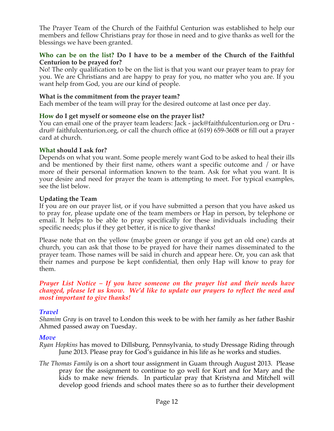The Prayer Team of the Church of the Faithful Centurion was established to help our members and fellow Christians pray for those in need and to give thanks as well for the blessings we have been granted.

### **Who can be on the list? Do I have to be a member of the Church of the Faithful Centurion to be prayed for?**

No! The only qualification to be on the list is that you want our prayer team to pray for you. We are Christians and are happy to pray for you, no matter who you are. If you want help from God, you are our kind of people.

### **What is the commitment from the prayer team?**

Each member of the team will pray for the desired outcome at last once per day.

## **How do I get myself or someone else on the prayer list?**

You can email one of the prayer team leaders: Jack - jack@faithfulcenturion.org or Dru dru@ faithfulcenturion.org, or call the church office at (619) 659-3608 or fill out a prayer card at church.

## **What should I ask for?**

Depends on what you want. Some people merely want God to be asked to heal their ills and be mentioned by their first name, others want a specific outcome and / or have more of their personal information known to the team. Ask for what you want. It is your desire and need for prayer the team is attempting to meet. For typical examples, see the list below.

## **Updating the Team**

If you are on our prayer list, or if you have submitted a person that you have asked us to pray for, please update one of the team members or Hap in person, by telephone or email. It helps to be able to pray specifically for these individuals including their specific needs; plus if they get better, it is nice to give thanks!

Please note that on the yellow (maybe green or orange if you get an old one) cards at church, you can ask that those to be prayed for have their names disseminated to the prayer team. Those names will be said in church and appear here. Or, you can ask that their names and purpose be kept confidential, then only Hap will know to pray for them.

#### *Prayer List Notice – If you have someone on the prayer list and their needs have changed, please let us know. We'd like to update our prayers to reflect the need and most important to give thanks!*

## *Travel*

*Shamim Gray* is on travel to London this week to be with her family as her father Bashir Ahmed passed away on Tuesday.

## *Move*

*Ryan Hopkins* has moved to Dillsburg, Pennsylvania, to study Dressage Riding through June 2013. Please pray for God's guidance in his life as he works and studies.

*The Thomas Family* is on a short tour assignment in Guam through August 2013. Please pray for the assignment to continue to go well for Kurt and for Mary and the kids to make new friends. In particular pray that Kristyna and Mitchell will develop good friends and school mates there so as to further their development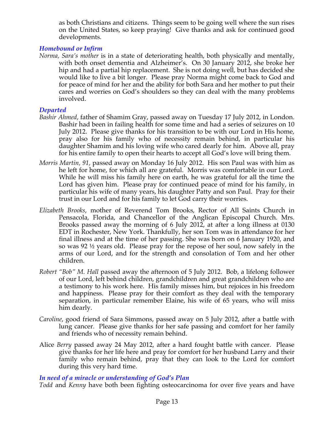as both Christians and citizens. Things seem to be going well where the sun rises on the United States, so keep praying! Give thanks and ask for continued good developments.

## *Homebound or Infirm*

*Norma, Sara's mother* is in a state of deteriorating health, both physically and mentally, with both onset dementia and Alzheimer's. On 30 January 2012, she broke her hip and had a partial hip replacement. She is not doing well, but has decided she would like to live a bit longer. Please pray Norma might come back to God and for peace of mind for her and the ability for both Sara and her mother to put their cares and worries on God's shoulders so they can deal with the many problems involved.

## *Departed*

- *Bashir Ahmed*, father of Shamim Gray, passed away on Tuesday 17 July 2012, in London. Bashir had been in failing health for some time and had a series of seizures on 10 July 2012. Please give thanks for his transition to be with our Lord in His home, pray also for his family who of necessity remain behind, in particular his daughter Shamim and his loving wife who cared dearly for him. Above all, pray for his entire family to open their hearts to accept all God's love will bring them.
- *Morris Martin, 91,* passed away on Monday 16 July 2012. His son Paul was with him as he left for home, for which all are grateful. Morris was comfortable in our Lord. While he will miss his family here on earth, he was grateful for all the time the Lord has given him. Please pray for continued peace of mind for his family, in particular his wife of many years, his daughter Patty and son Paul. Pray for their trust in our Lord and for his family to let God carry their worries.
- *Elizabeth Brooks*, mother of Reverend Tom Brooks, Rector of All Saints Church in Pensacola, Florida, and Chancellor of the Anglican Episcopal Church. Mrs. Brooks passed away the morning of 6 July 2012, at after a long illness at 0130 EDT in Rochester, New York. Thankfully, her son Tom was in attendance for her final illness and at the time of her passing. She was born on 6 January 1920, and so was 92 ½ years old. Please pray for the repose of her soul, now safely in the arms of our Lord, and for the strength and consolation of Tom and her other children.
- *Robert "Bob" M. Hall* passed away the afternoon of 5 July 2012. Bob, a lifelong follower of our Lord, left behind children, grandchildren and great grandchildren who are a testimony to his work here. His family misses him, but rejoices in his freedom and happiness. Please pray for their comfort as they deal with the temporary separation, in particular remember Elaine, his wife of 65 years, who will miss him dearly.
- *Caroline*, good friend of Sara Simmons, passed away on 5 July 2012, after a battle with lung cancer. Please give thanks for her safe passing and comfort for her family and friends who of necessity remain behind.
- Alice *Berry* passed away 24 May 2012, after a hard fought battle with cancer. Please give thanks for her life here and pray for comfort for her husband Larry and their family who remain behind, pray that they can look to the Lord for comfort during this very hard time.

### *In need of a miracle or understanding of God's Plan*

*Todd* and *Kenny* have both been fighting osteocarcinoma for over five years and have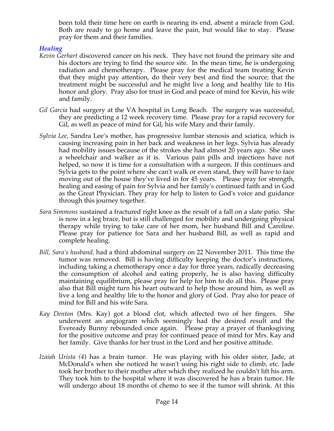been told their time here on earth is nearing its end, absent a miracle from God. Both are ready to go home and leave the pain, but would like to stay. Please pray for them and their families.

### *Healing*

- *Kevin Gerhart* discovered cancer on his neck. They have not found the primary site and his doctors are trying to find the source site. In the mean time, he is undergoing radiation and chemotherapy. Please pray for the medical team treating Kevin that they might pay attention, do their very best and find the source; that the treatment might be successful and he might live a long and healthy life to His honor and glory. Pray also for trust in God and peace of mind for Kevin, his wife and family.
- *Gil Garcia* had surgery at the VA hospital in Long Beach. The surgery was successful, they are predicting a 12 week recovery time. Please pray for a rapid recovery for Gil, as well as peace of mind for Gil, his wife Mary and their family.
- *Sylvia Lee,* Sandra Lee's mother, has progressive lumbar stenosis and sciatica, which is causing increasing pain in her back and weakness in her legs. Sylvia has already had mobility issues because of the strokes she had almost 20 years ago. She uses a wheelchair and walker as it is. Various pain pills and injections have not helped, so now it is time for a consultation with a surgeon. If this continues and Sylvia gets to the point where she can't walk or even stand, they will have to face moving out of the house they've lived in for 45 years. Please pray for strength, healing and easing of pain for Sylvia and her family's continued faith and in God as the Great Physician. They pray for help to listen to God's voice and guidance through this journey together.
- *Sara Simmons* sustained a fractured right knee as the result of a fall on a slate patio. She is now in a leg brace, but is still challenged for mobility and undergoing physical therapy while trying to take care of her mom, her husband Bill and Caroline. Please pray for patience for Sara and her husband Bill, as well as rapid and complete healing.
- *Bill, Sara's husband,* had a third abdominal surgery on 22 November 2011. This time the tumor was removed. Bill is having difficulty keeping the doctor's instructions, including taking a chemotherapy once a day for three years, radically decreasing the consumption of alcohol and eating properly, he is also having difficulty maintaining equilibrium, please pray for help for him to do all this. Please pray also that Bill might turn his heart outward to help those around him, as well as live a long and healthy life to the honor and glory of God. Pray also for peace of mind for Bill and his wife Sara.
- *Kay Denton* (Mrs. Kay) got a blood clot, which affected two of her fingers. She underwent an angiogram which seemingly had the desired result and the Eveready Bunny rebounded once again. Please pray a prayer of thanksgiving for the positive outcome and pray for continued peace of mind for Mrs. Kay and her family. Give thanks for her trust in the Lord and her positive attitude.
- *Izaiah Urista (4*) has a brain tumor. He was playing with his older sister, Jade, at McDonald's when she noticed he wasn't using his right side to climb, etc. Jade took her brother to their mother after which they realized he couldn't lift his arm. They took him to the hospital where it was discovered he has a brain tumor. He will undergo about 18 months of chemo to see if the tumor will shrink. At this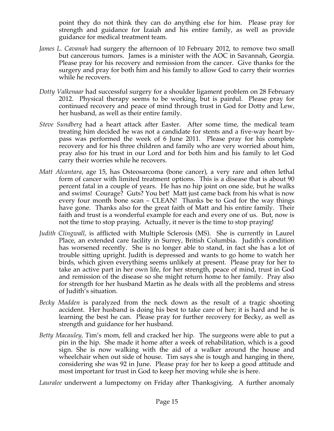point they do not think they can do anything else for him. Please pray for strength and guidance for Izaiah and his entire family, as well as provide guidance for medical treatment team.

- *James L. Cavanah* had surgery the afternoon of 10 February 2012, to remove two small but cancerous tumors. James is a minister with the AOC in Savannah, Georgia. Please pray for his recovery and remission from the cancer. Give thanks for the surgery and pray for both him and his family to allow God to carry their worries while he recovers.
- *Dotty Valkenaar* had successful surgery for a shoulder ligament problem on 28 February 2012. Physical therapy seems to be working, but is painful. Please pray for continued recovery and peace of mind through trust in God for Dotty and Lew, her husband, as well as their entire family.
- *Steve Sundberg* had a heart attack after Easter. After some time, the medical team treating him decided he was not a candidate for stents and a five-way heart bypass was performed the week of 6 June 2011. Please pray for his complete recovery and for his three children and family who are very worried about him, pray also for his trust in our Lord and for both him and his family to let God carry their worries while he recovers.
- *Matt Alcantara*, age 15, has Osteosarcoma (bone cancer), a very rare and often lethal form of cancer with limited treatment options. This is a disease that is about 90 percent fatal in a couple of years. He has no hip joint on one side, but he walks and swims! Courage? Guts? You bet! Matt just came back from his what is now every four month bone scan – CLEAN! Thanks be to God for the way things have gone. Thanks also for the great faith of Matt and his entire family. Their faith and trust is a wonderful example for each and every one of us. But, now is not the time to stop praying. Actually, it never is the time to stop praying!
- *Judith Clingwall*, is afflicted with Multiple Sclerosis (MS). She is currently in Laurel Place, an extended care facility in Surrey, British Columbia. Judith's condition has worsened recently. She is no longer able to stand, in fact she has a lot of trouble sitting upright. Judith is depressed and wants to go home to watch her birds, which given everything seems unlikely at present. Please pray for her to take an active part in her own life, for her strength, peace of mind, trust in God and remission of the disease so she might return home to her family. Pray also for strength for her husband Martin as he deals with all the problems and stress of Judith's situation.
- *Becky Madden* is paralyzed from the neck down as the result of a tragic shooting accident. Her husband is doing his best to take care of her; it is hard and he is learning the best he can. Please pray for further recovery for Becky, as well as strength and guidance for her husband.
- *Betty Macauley,* Tim's mom, fell and cracked her hip. The surgeons were able to put a pin in the hip. She made it home after a week of rehabilitation, which is a good sign. She is now walking with the aid of a walker around the house and wheelchair when out side of house. Tim says she is tough and hanging in there, considering she was 92 in June. Please pray for her to keep a good attitude and most important for trust in God to keep her moving while she is here.

*Lauralee* underwent a lumpectomy on Friday after Thanksgiving. A further anomaly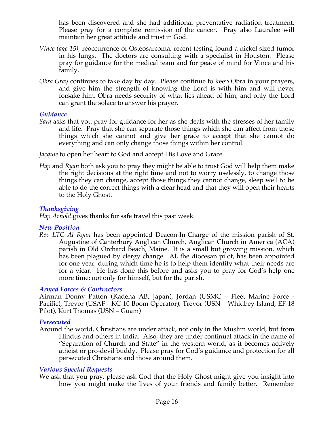has been discovered and she had additional preventative radiation treatment. Please pray for a complete remission of the cancer. Pray also Lauralee will maintain her great attitude and trust in God.

- *Vince (age 15),* reoccurrence of Osteosarcoma, recent testing found a nickel sized tumor in his lungs. The doctors are consulting with a specialist in Houston. Please pray for guidance for the medical team and for peace of mind for Vince and his family.
- *Obra Gray* continues to take day by day. Please continue to keep Obra in your prayers, and give him the strength of knowing the Lord is with him and will never forsake him. Obra needs security of what lies ahead of him, and only the Lord can grant the solace to answer his prayer.

### *Guidance*

*Sara* asks that you pray for guidance for her as she deals with the stresses of her family and life. Pray that she can separate those things which she can affect from those things which she cannot and give her grace to accept that she cannot do everything and can only change those things within her control.

*Jacquie* to open her heart to God and accept His Love and Grace.

*Hap* and *Ryan* both ask you to pray they might be able to trust God will help them make the right decisions at the right time and not to worry uselessly, to change those things they can change, accept those things they cannot change, sleep well to be able to do the correct things with a clear head and that they will open their hearts to the Holy Ghost.

## *Thanksgiving*

*Hap Arnold* gives thanks for safe travel this past week.

### *New Position*

*Rev LTC Al Ryan* has been appointed Deacon-In-Charge of the mission parish of St. Augustine of Canterbury Anglican Church, Anglican Church in America (ACA) parish in Old Orchard Beach, Maine. It is a small but growing mission, which has been plagued by clergy change. Al, the diocesan pilot, has been appointed for one year, during which time he is to help them identify what their needs are for a vicar. He has done this before and asks you to pray for God's help one more time; not only for himself, but for the parish.

## *Armed Forces & Contractors*

Airman Donny Patton (Kadena AB, Japan), Jordan (USMC – Fleet Marine Force - Pacific), Trevor (USAF - KC-10 Boom Operator), Trevor (USN – Whidbey Island, EF-18 Pilot), Kurt Thomas (USN – Guam)

## *Persecuted*

Around the world, Christians are under attack, not only in the Muslim world, but from Hindus and others in India. Also, they are under continual attack in the name of "Separation of Church and State" in the western world, as it becomes actively atheist or pro-devil buddy. Please pray for God's guidance and protection for all persecuted Christians and those around them.

## *Various Special Requests*

We ask that you pray, please ask God that the Holy Ghost might give you insight into how you might make the lives of your friends and family better. Remember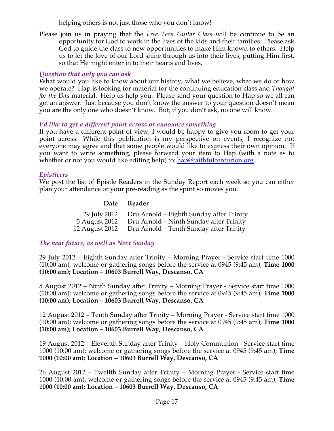helping others is not just those who you don't know!

Please join us in praying that the *Free Teen Guitar Class* will be continue to be an opportunity for God to work in the lives of the kids and their families. Please ask God to guide the class to new opportunities to make Him known to others. Help us to let the love of our Lord shine through us into their lives, putting Him first, so that He might enter in to their hearts and lives.

# *Question that only you can ask*

What would you like to know about our history, what we believe, what we do or how we operate? Hap is looking for material for the continuing education class and *Thought for the Day* material. Help us help you. Please send your question to Hap so we all can get an answer. Just because you don't know the answer to your question doesn't mean you are the only one who doesn't know. But, if you don't ask, no one will know.

## *I'd like to get a different point across or announce something*

If you have a different point of view, I would be happy to give you room to get your point across. While this publication is my perspective on events, I recognize not everyone may agree and that some people would like to express their own opinion. If you want to write something, please forward your item to Hap (with a note as to whether or not you would like editing help) to: hap@faithfulcenturion.org.

## *Epistleers*

We post the list of Epistle Readers in the Sunday Report each week so you can either plan your attendance or your pre-reading as the spirit so moves you.

## **Date Reader**

| 29 July 2012   | Dru Arnold – Eighth Sunday after Trinity |
|----------------|------------------------------------------|
| 5 August 2012  | Dru Arnold – Ninth Sunday after Trinity  |
| 12 August 2012 | Dru Arnold - Tenth Sunday after Trinity  |

### *The near future, as well as Next Sunday*

29 July 2012 – Eighth Sunday after Trinity – Morning Prayer - Service start time 1000 (10:00 am); welcome or gathering songs before the service at 0945 (9:45 am); **Time 1000 (10:00 am); Location – 10603 Burrell Way, Descanso, CA**

5 August 2012 – Ninth Sunday after Trinity – Morning Prayer - Service start time 1000 (10:00 am); welcome or gathering songs before the service at 0945 (9:45 am); **Time 1000 (10:00 am); Location – 10603 Burrell Way, Descanso, CA**

12 August 2012 – Tenth Sunday after Trinity – Morning Prayer - Service start time 1000 (10:00 am); welcome or gathering songs before the service at 0945 (9:45 am); **Time 1000 (10:00 am); Location – 10603 Burrell Way, Descanso, CA**

19 August 2012 – Eleventh Sunday after Trinity – Holy Communion - Service start time 1000 (10:00 am); welcome or gathering songs before the service at 0945 (9:45 am); **Time 1000 (10:00 am); Location – 10603 Burrell Way, Descanso, CA**

26 August 2012 – Twelfth Sunday after Trinity – Morning Prayer - Service start time 1000 (10:00 am); welcome or gathering songs before the service at 0945 (9:45 am); **Time 1000 (10:00 am); Location – 10603 Burrell Way, Descanso, CA**